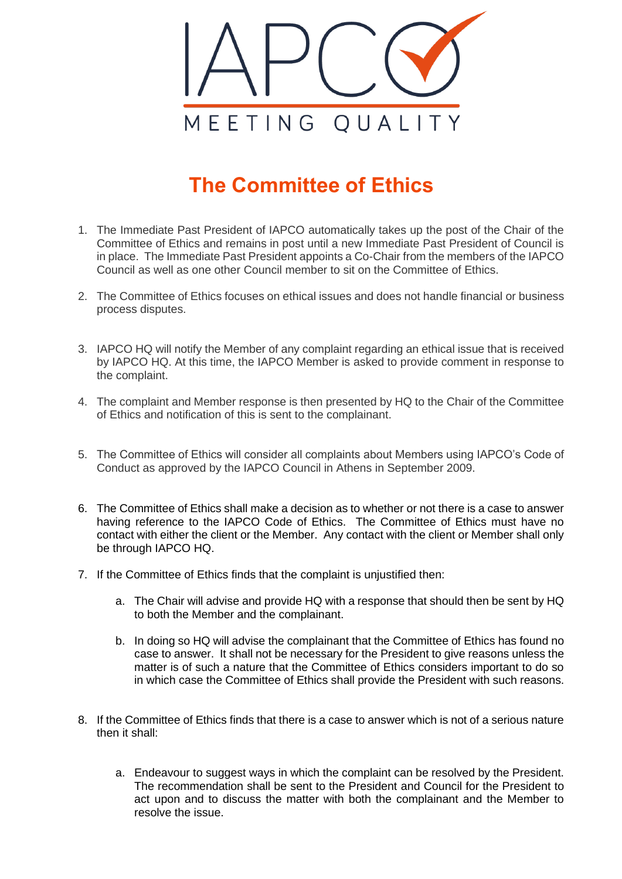

## **The Committee of Ethics**

- 1. The Immediate Past President of IAPCO automatically takes up the post of the Chair of the Committee of Ethics and remains in post until a new Immediate Past President of Council is in place. The Immediate Past President appoints a Co-Chair from the members of the IAPCO Council as well as one other Council member to sit on the Committee of Ethics.
- 2. The Committee of Ethics focuses on ethical issues and does not handle financial or business process disputes.
- 3. IAPCO HQ will notify the Member of any complaint regarding an ethical issue that is received by IAPCO HQ. At this time, the IAPCO Member is asked to provide comment in response to the complaint.
- 4. The complaint and Member response is then presented by HQ to the Chair of the Committee of Ethics and notification of this is sent to the complainant.
- 5. The Committee of Ethics will consider all complaints about Members using IAPCO's Code of Conduct as approved by the IAPCO Council in Athens in September 2009.
- 6. The Committee of Ethics shall make a decision as to whether or not there is a case to answer having reference to the IAPCO Code of Ethics. The Committee of Ethics must have no contact with either the client or the Member. Any contact with the client or Member shall only be through IAPCO HQ.
- 7. If the Committee of Ethics finds that the complaint is unjustified then:
	- a. The Chair will advise and provide HQ with a response that should then be sent by HQ to both the Member and the complainant.
	- b. In doing so HQ will advise the complainant that the Committee of Ethics has found no case to answer. It shall not be necessary for the President to give reasons unless the matter is of such a nature that the Committee of Ethics considers important to do so in which case the Committee of Ethics shall provide the President with such reasons.
- 8. If the Committee of Ethics finds that there is a case to answer which is not of a serious nature then it shall:
	- a. Endeavour to suggest ways in which the complaint can be resolved by the President. The recommendation shall be sent to the President and Council for the President to act upon and to discuss the matter with both the complainant and the Member to resolve the issue.